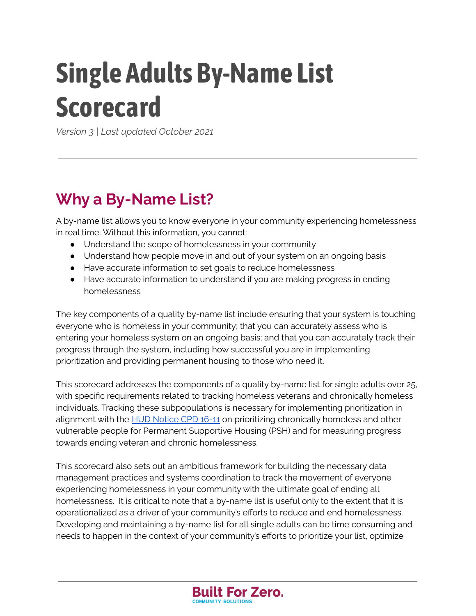# **Single Adults By-Name List Scorecard**

*Version 3 | Last updated October 2021*

# **Why a By-Name List?**

A by-name list allows you to know everyone in your community experiencing homelessness in real time. Without this information, you cannot:

- Understand the scope of homelessness in your community
- Understand how people move in and out of your system on an ongoing basis
- Have accurate information to set goals to reduce homelessness
- Have accurate information to understand if you are making progress in ending homelessness

The key components of a quality by-name list include ensuring that your system is touching everyone who is homeless in your community; that you can accurately assess who is entering your homeless system on an ongoing basis; and that you can accurately track their progress through the system, including how successful you are in implementing prioritization and providing permanent housing to those who need it.

This scorecard addresses the components of a quality by-name list for single adults over 25, with specific requirements related to tracking homeless veterans and chronically homeless individuals. Tracking these subpopulations is necessary for implementing prioritization in alignment with the HUD [Notice](https://www.hudexchange.info/resource/5108/notice-cpd-16-11-prioritizing-persons-experiencing-chronic-homelessness-and-other-vulnerable-homeless-persons-in-psh/) CPD 16-11 on prioritizing chronically homeless and other vulnerable people for Permanent Supportive Housing (PSH) and for measuring progress towards ending veteran and chronic homelessness.

This scorecard also sets out an ambitious framework for building the necessary data management practices and systems coordination to track the movement of everyone experiencing homelessness in your community with the ultimate goal of ending all homelessness. It is critical to note that a by-name list is useful only to the extent that it is operationalized as a driver of your community's efforts to reduce and end homelessness. Developing and maintaining a by-name list for all single adults can be time consuming and needs to happen in the context of your community's efforts to prioritize your list, optimize

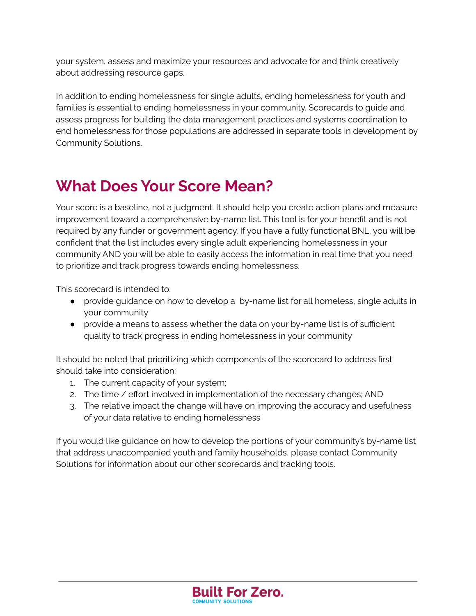your system, assess and maximize your resources and advocate for and think creatively about addressing resource gaps.

In addition to ending homelessness for single adults, ending homelessness for youth and families is essential to ending homelessness in your community. Scorecards to guide and assess progress for building the data management practices and systems coordination to end homelessness for those populations are addressed in separate tools in development by Community Solutions.

# **What Does Your Score Mean?**

Your score is a baseline, not a judgment. It should help you create action plans and measure improvement toward a comprehensive by-name list. This tool is for your benefit and is not required by any funder or government agency. If you have a fully functional BNL, you will be confident that the list includes every single adult experiencing homelessness in your community AND you will be able to easily access the information in real time that you need to prioritize and track progress towards ending homelessness.

This scorecard is intended to:

- provide guidance on how to develop a by-name list for all homeless, single adults in your community
- provide a means to assess whether the data on your by-name list is of sufficient quality to track progress in ending homelessness in your community

It should be noted that prioritizing which components of the scorecard to address first should take into consideration:

- 1. The current capacity of your system;
- 2. The time / effort involved in implementation of the necessary changes; AND
- 3. The relative impact the change will have on improving the accuracy and usefulness of your data relative to ending homelessness

If you would like guidance on how to develop the portions of your community's by-name list that address unaccompanied youth and family households, please contact Community Solutions for information about our other scorecards and tracking tools.

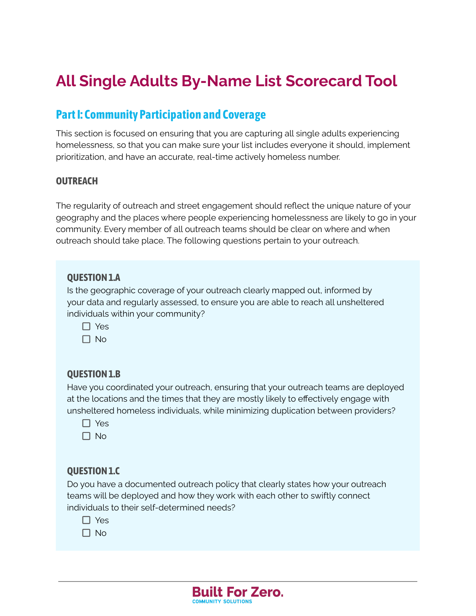# **All Single Adults By-Name List Scorecard Tool**

## **PartI: Community Participation and Coverage**

This section is focused on ensuring that you are capturing all single adults experiencing homelessness, so that you can make sure your list includes everyone it should, implement prioritization, and have an accurate, real-time actively homeless number.

#### **OUTREACH**

The regularity of outreach and street engagement should reflect the unique nature of your geography and the places where people experiencing homelessness are likely to go in your community. Every member of all outreach teams should be clear on where and when outreach should take place. The following questions pertain to your outreach.

#### **QUESTION 1.A**

Is the geographic coverage of your outreach clearly mapped out, informed by your data and regularly assessed, to ensure you are able to reach all unsheltered individuals within your community?

 $\Box$  Yes

 $\Box$  No

#### **QUESTION 1.B**

Have you coordinated your outreach, ensuring that your outreach teams are deployed at the locations and the times that they are mostly likely to effectively engage with unsheltered homeless individuals, while minimizing duplication between providers?

- □ Yes
- $\Box$  No

#### **QUESTION 1.C**

Do you have a documented outreach policy that clearly states how your outreach teams will be deployed and how they work with each other to swiftly connect individuals to their self-determined needs?

- $\Box$  Yes
- $\Box$  No

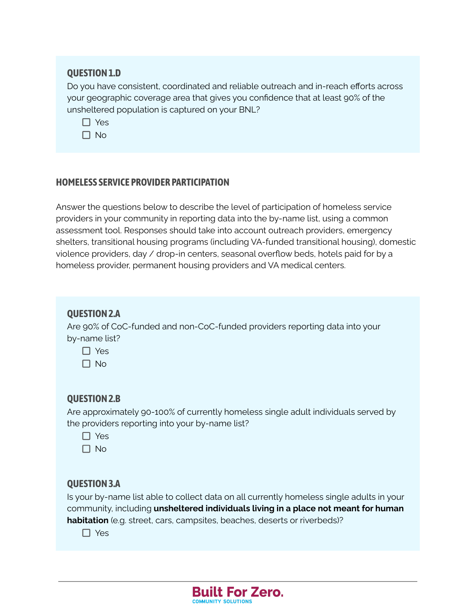#### **QUESTION 1.D**

Do you have consistent, coordinated and reliable outreach and in-reach efforts across your geographic coverage area that gives you confidence that at least 90% of the unsheltered population is captured on your BNL?

□ Yes

 $\Box$  No

#### **HOMELESS SERVICE PROVIDER PARTICIPATION**

Answer the questions below to describe the level of participation of homeless service providers in your community in reporting data into the by-name list, using a common assessment tool. Responses should take into account outreach providers, emergency shelters, transitional housing programs (including VA-funded transitional housing), domestic violence providers, day / drop-in centers, seasonal overflow beds, hotels paid for by a homeless provider, permanent housing providers and VA medical centers.

#### **QUESTION2.A**

Are 90% of CoC-funded and non-CoC-funded providers reporting data into your by-name list?

□ Yes

 $\Box$  No

#### **QUESTION2.B**

Are approximately 90-100% of currently homeless single adult individuals served by the providers reporting into your by-name list?

- □ Yes
- $\Box$  No

#### **QUESTION3.A**

Is your by-name list able to collect data on all currently homeless single adults in your community, including **unsheltered individuals living in a place not meant for human habitation** (e.g. street, cars, campsites, beaches, deserts or riverbeds)?

**Built For Zero.** 

COMMUNITY SOLUTIONS

 $\Box$  Yes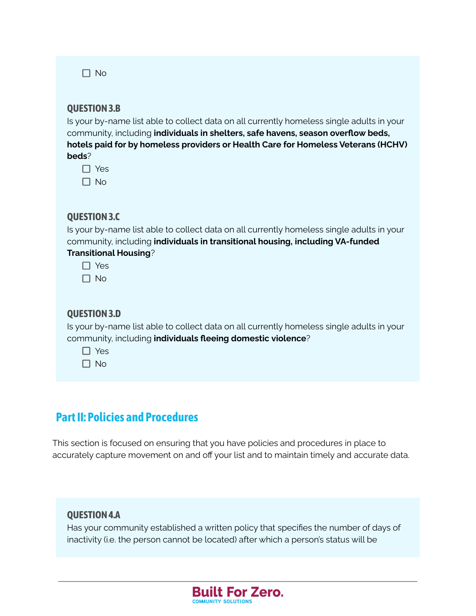$\Box$  No

#### **QUESTION3.B**

Is your by-name list able to collect data on all currently homeless single adults in your community, including **individuals in shelters, safe havens, season overflow beds, hotels paid for by homeless providers or Health Care for Homeless Veterans (HCHV) beds**?

| ×.<br>L |
|---------|
|         |

 $\Box$  No

#### **QUESTION3.C**

Is your by-name list able to collect data on all currently homeless single adults in your community, including **individuals in transitional housing, including VA-funded Transitional Housing**?

|  |  | Yes |  |  |
|--|--|-----|--|--|

#### **QUESTION3.D**

Is your by-name list able to collect data on all currently homeless single adults in your community, including **individuals fleeing domestic violence**?

□ Yes

 $\Box$  No

## **PartII: Policies and Procedures**

This section is focused on ensuring that you have policies and procedures in place to accurately capture movement on and off your list and to maintain timely and accurate data.

#### **QUESTION4.A**

Has your community established a written policy that specifies the number of days of inactivity (i.e. the person cannot be located) after which a person's status will be

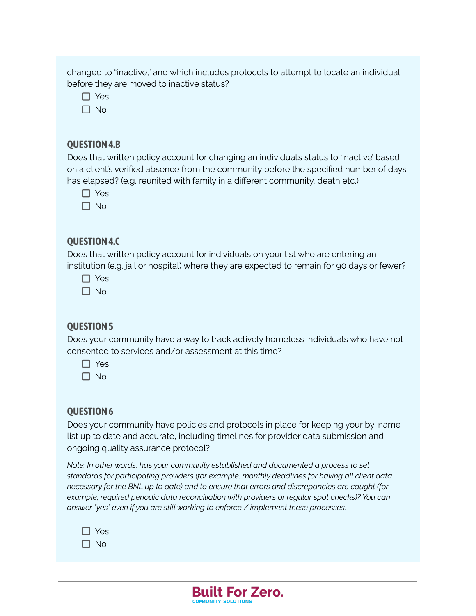changed to "inactive," and which includes protocols to attempt to locate an individual before they are moved to inactive status?

- $\Box$  Yes
- $\Box$  No

#### **QUESTION4.B**

Does that written policy account for changing an individual's status to 'inactive' based on a client's verified absence from the community before the specified number of days has elapsed? (e.g. reunited with family in a different community, death etc.)

- □ Yes
- $\Box$  No

#### **QUESTION4.C**

Does that written policy account for individuals on your list who are entering an institution (e.g. jail or hospital) where they are expected to remain for 90 days or fewer?

- □ Yes
- $\Box$  No

#### **QUESTION5**

Does your community have a way to track actively homeless individuals who have not consented to services and/or assessment at this time?

- $\Box$  Yes
- $\Box$  No

#### **QUESTION6**

Does your community have policies and protocols in place for keeping your by-name list up to date and accurate, including timelines for provider data submission and ongoing quality assurance protocol?

*Note: In other words, has your community established and documented a process to set standards for participating providers (for example, monthly deadlines for having all client data necessary for the BNL up to date) and to ensure that errors and discrepancies are caught (for example, required periodic data reconciliation with providers or regular spot checks)? You can answer "yes" even if you are still working to enforce / implement these processes.*

| Yes |
|-----|
| חו  |

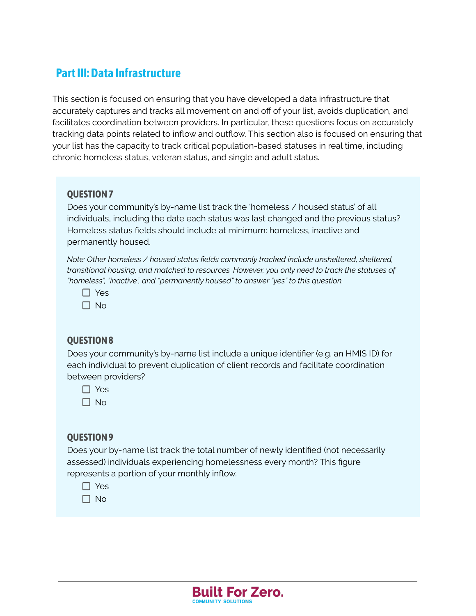## **PartIII:Data Infrastructure**

This section is focused on ensuring that you have developed a data infrastructure that accurately captures and tracks all movement on and off of your list, avoids duplication, and facilitates coordination between providers. In particular, these questions focus on accurately tracking data points related to inflow and outflow. This section also is focused on ensuring that your list has the capacity to track critical population-based statuses in real time, including chronic homeless status, veteran status, and single and adult status.

#### **QUESTION7**

Does your community's by-name list track the 'homeless / housed status' of all individuals, including the date each status was last changed and the previous status? Homeless status fields should include at minimum: homeless, inactive and permanently housed.

*Note: Other homeless / housed status fields commonly tracked include unsheltered, sheltered, transitional housing, and matched to resources. However, you only need to track the statuses of "homeless", "inactive", and "permanently housed" to answer "yes" to this question.*

| ⌒<br>Y<br>∽ |
|-------------|
|             |

 $\Box$  No

#### **QUESTION8**

Does your community's by-name list include a unique identifier (e.g. an HMIS ID) for each individual to prevent duplication of client records and facilitate coordination between providers?

□ Yes

 $\Box$  No

#### **QUESTION9**

Does your by-name list track the total number of newly identified (not necessarily assessed) individuals experiencing homelessness every month? This figure represents a portion of your monthly inflow.

□ Yes

 $\Box$  No

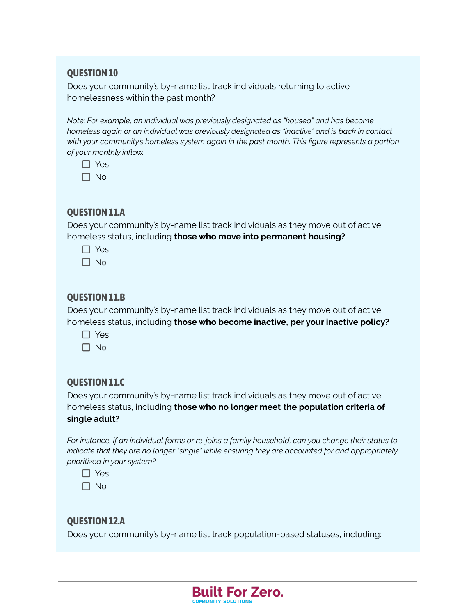#### **QUESTION 10**

Does your community's by-name list track individuals returning to active homelessness within the past month?

*Note: For example, an individual was previously designated as "housed" and has become homeless again or an individual was previously designated as "inactive" and is back in contact with your community's homeless system again in the past month. This figure represents a portion of your monthly inflow.*

| ٠ |
|---|
|   |

 $\Box$  No

#### **QUESTION11.A**

Does your community's by-name list track individuals as they move out of active homeless status, including **those who move into permanent housing?**

- $\Box$  Yes
- $\Box$  No

#### **QUESTION11.B**

Does your community's by-name list track individuals as they move out of active homeless status, including **those who become inactive, per your inactive policy?**

- □ Yes
- $\Box$  No

#### **QUESTION11.C**

Does your community's by-name list track individuals as they move out of active homeless status, including **those who no longer meet the population criteria of single adult?**

*For instance, if an individual forms or re-joins a family household, can you change their status to indicate that they are no longer "single" while ensuring they are accounted for and appropriately prioritized in your system?*

□ Yes

 $\Box$  No

#### **QUESTION12.A**

Does your community's by-name list track population-based statuses, including:

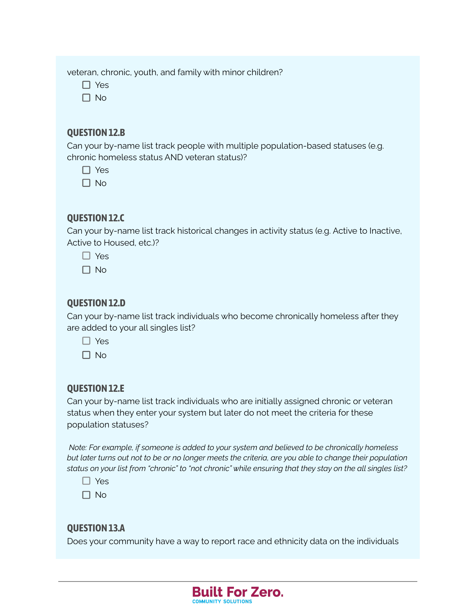veteran, chronic, youth, and family with minor children?

- $\Box$  Yes
- $\n **no**\n$

#### **QUESTION12.B**

Can your by-name list track people with multiple population-based statuses (e.g. chronic homeless status AND veteran status)?

 $\Box$  Yes

 $\Box$  No

#### **QUESTION12.C**

Can your by-name list track historical changes in activity status (e.g. Active to Inactive, Active to Housed, etc.)?

- □ Yes
- $\Box$  No

#### **QUESTION12.D**

Can your by-name list track individuals who become chronically homeless after they are added to your all singles list?

- □ Yes
- $\Box$  No

#### **QUESTION 12.E**

Can your by-name list track individuals who are initially assigned chronic or veteran status when they enter your system but later do not meet the criteria for these population statuses?

*Note: For example, if someone is added to your system and believed to be chronically homeless* but later turns out not to be or no longer meets the criteria, are you able to change their population status on your list from "chronic" to "not chronic" while ensuring that they stay on the all singles list?

| v<br>$\sim$<br>٦ |
|------------------|
|------------------|

 $\Box$  No

#### **QUESTION13.A**

Does your community have a way to report race and ethnicity data on the individuals